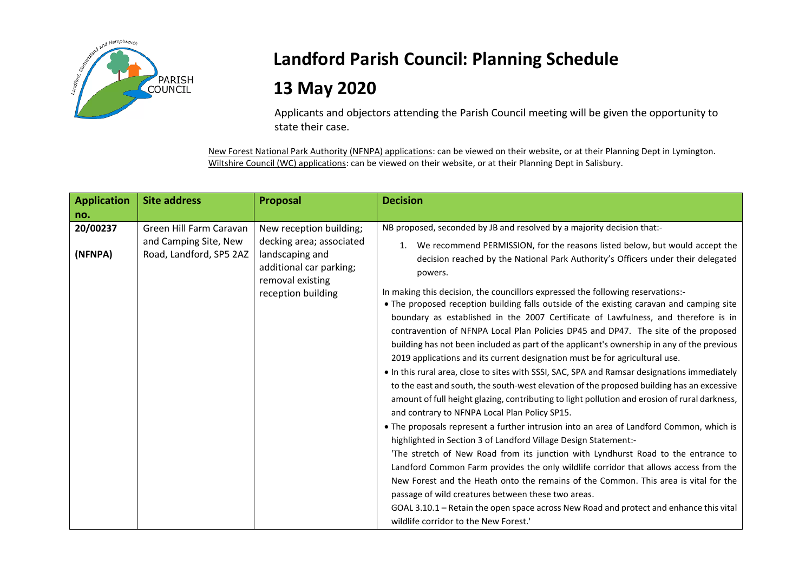

## **Landford Parish Council: Planning Schedule**

## **13 May 2020**

Applicants and objectors attending the Parish Council meeting will be given the opportunity to state their case.

New Forest National Park Authority (NFNPA) applications: can be viewed on their website, or at their Planning Dept in Lymington. Wiltshire Council (WC) applications: can be viewed on their website, or at their Planning Dept in Salisbury.

| <b>Application</b>  | <b>Site address</b>                                                         | Proposal                                                                                                                                    | <b>Decision</b>                                                                                                                                                                                                                                                                                                                                                                                                                                                                                                                                                                                                                                                                                                                                                                                                                                                                                                                                                                                                                                                                                                                                                                                                                                                                                                                                                                                                                                                                                                                                                                                                                                                                                                                                                              |
|---------------------|-----------------------------------------------------------------------------|---------------------------------------------------------------------------------------------------------------------------------------------|------------------------------------------------------------------------------------------------------------------------------------------------------------------------------------------------------------------------------------------------------------------------------------------------------------------------------------------------------------------------------------------------------------------------------------------------------------------------------------------------------------------------------------------------------------------------------------------------------------------------------------------------------------------------------------------------------------------------------------------------------------------------------------------------------------------------------------------------------------------------------------------------------------------------------------------------------------------------------------------------------------------------------------------------------------------------------------------------------------------------------------------------------------------------------------------------------------------------------------------------------------------------------------------------------------------------------------------------------------------------------------------------------------------------------------------------------------------------------------------------------------------------------------------------------------------------------------------------------------------------------------------------------------------------------------------------------------------------------------------------------------------------------|
| no.                 |                                                                             |                                                                                                                                             |                                                                                                                                                                                                                                                                                                                                                                                                                                                                                                                                                                                                                                                                                                                                                                                                                                                                                                                                                                                                                                                                                                                                                                                                                                                                                                                                                                                                                                                                                                                                                                                                                                                                                                                                                                              |
| 20/00237<br>(NFNPA) | Green Hill Farm Caravan<br>and Camping Site, New<br>Road, Landford, SP5 2AZ | New reception building;<br>decking area; associated<br>landscaping and<br>additional car parking;<br>removal existing<br>reception building | NB proposed, seconded by JB and resolved by a majority decision that:-<br>We recommend PERMISSION, for the reasons listed below, but would accept the<br>1.<br>decision reached by the National Park Authority's Officers under their delegated<br>powers.<br>In making this decision, the councillors expressed the following reservations:-<br>• The proposed reception building falls outside of the existing caravan and camping site<br>boundary as established in the 2007 Certificate of Lawfulness, and therefore is in<br>contravention of NFNPA Local Plan Policies DP45 and DP47. The site of the proposed<br>building has not been included as part of the applicant's ownership in any of the previous<br>2019 applications and its current designation must be for agricultural use.<br>. In this rural area, close to sites with SSSI, SAC, SPA and Ramsar designations immediately<br>to the east and south, the south-west elevation of the proposed building has an excessive<br>amount of full height glazing, contributing to light pollution and erosion of rural darkness,<br>and contrary to NFNPA Local Plan Policy SP15.<br>• The proposals represent a further intrusion into an area of Landford Common, which is<br>highlighted in Section 3 of Landford Village Design Statement:-<br>'The stretch of New Road from its junction with Lyndhurst Road to the entrance to<br>Landford Common Farm provides the only wildlife corridor that allows access from the<br>New Forest and the Heath onto the remains of the Common. This area is vital for the<br>passage of wild creatures between these two areas.<br>GOAL 3.10.1 - Retain the open space across New Road and protect and enhance this vital<br>wildlife corridor to the New Forest.' |